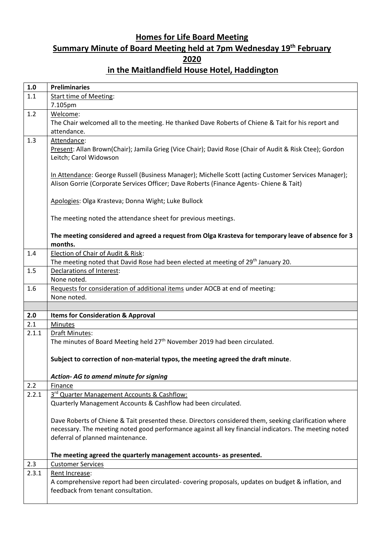## **Homes for Life Board Meeting Summary Minute of Board Meeting held at 7pm Wednesday 19th February 2020 in the Maitlandfield House Hotel, Haddington**

| 1.1   | <b>Preliminaries</b>                                                                                                                    |
|-------|-----------------------------------------------------------------------------------------------------------------------------------------|
|       | <b>Start time of Meeting:</b>                                                                                                           |
|       | 7.105pm                                                                                                                                 |
| 1.2   | Welcome:                                                                                                                                |
|       | The Chair welcomed all to the meeting. He thanked Dave Roberts of Chiene & Tait for his report and                                      |
|       | attendance.                                                                                                                             |
| 1.3   | Attendance:                                                                                                                             |
|       | Present: Allan Brown(Chair); Jamila Grieg (Vice Chair); David Rose (Chair of Audit & Risk Ctee); Gordon                                 |
|       | Leitch; Carol Widowson                                                                                                                  |
|       |                                                                                                                                         |
|       | In Attendance: George Russell (Business Manager); Michelle Scott (acting Customer Services Manager);                                    |
|       | Alison Gorrie (Corporate Services Officer; Dave Roberts (Finance Agents- Chiene & Tait)                                                 |
|       |                                                                                                                                         |
|       | Apologies: Olga Krasteva; Donna Wight; Luke Bullock                                                                                     |
|       |                                                                                                                                         |
|       | The meeting noted the attendance sheet for previous meetings.                                                                           |
|       |                                                                                                                                         |
|       | The meeting considered and agreed a request from Olga Krasteva for temporary leave of absence for 3                                     |
|       | months.                                                                                                                                 |
| 1.4   | Election of Chair of Audit & Risk:                                                                                                      |
|       | The meeting noted that David Rose had been elected at meeting of 29 <sup>th</sup> January 20.                                           |
| 1.5   | Declarations of Interest:                                                                                                               |
|       | None noted.                                                                                                                             |
| 1.6   | Requests for consideration of additional items under AOCB at end of meeting:                                                            |
|       | None noted.                                                                                                                             |
|       |                                                                                                                                         |
| 2.0   | <b>Items for Consideration &amp; Approval</b>                                                                                           |
| 2.1   | Minutes                                                                                                                                 |
| 2.1.1 | Draft Minutes:                                                                                                                          |
|       |                                                                                                                                         |
|       | The minutes of Board Meeting held 27 <sup>th</sup> November 2019 had been circulated.                                                   |
|       |                                                                                                                                         |
|       | Subject to correction of non-material typos, the meeting agreed the draft minute.                                                       |
|       |                                                                                                                                         |
|       | Action- AG to amend minute for signing                                                                                                  |
| 2.2   | <b>Finance</b>                                                                                                                          |
| 2.2.1 | 3rd Quarter Management Accounts & Cashflow:                                                                                             |
|       | Quarterly Management Accounts & Cashflow had been circulated.                                                                           |
|       |                                                                                                                                         |
|       | Dave Roberts of Chiene & Tait presented these. Directors considered them, seeking clarification where                                   |
|       | necessary. The meeting noted good performance against all key financial indicators. The meeting noted                                   |
|       | deferral of planned maintenance.                                                                                                        |
|       |                                                                                                                                         |
|       | The meeting agreed the quarterly management accounts- as presented.                                                                     |
| 2.3   | <b>Customer Services</b>                                                                                                                |
| 2.3.1 | Rent Increase:                                                                                                                          |
|       | A comprehensive report had been circulated-covering proposals, updates on budget & inflation, and<br>feedback from tenant consultation. |
|       |                                                                                                                                         |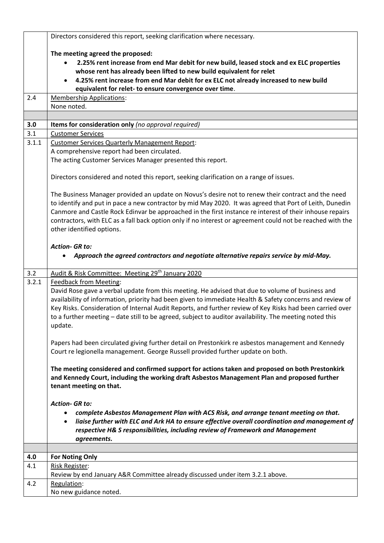|       | Directors considered this report, seeking clarification where necessary.                                                                                                                           |
|-------|----------------------------------------------------------------------------------------------------------------------------------------------------------------------------------------------------|
|       | The meeting agreed the proposed:                                                                                                                                                                   |
|       | 2.25% rent increase from end Mar debit for new build, leased stock and ex ELC properties<br>$\bullet$                                                                                              |
|       | whose rent has already been lifted to new build equivalent for relet                                                                                                                               |
|       | 4.25% rent increase from end Mar debit for ex ELC not already increased to new build                                                                                                               |
|       | equivalent for relet- to ensure convergence over time.                                                                                                                                             |
| 2.4   | <b>Membership Applications:</b>                                                                                                                                                                    |
|       | None noted.                                                                                                                                                                                        |
| 3.0   | Items for consideration only (no approval required)                                                                                                                                                |
| 3.1   | <b>Customer Services</b>                                                                                                                                                                           |
| 3.1.1 | <b>Customer Services Quarterly Management Report:</b>                                                                                                                                              |
|       | A comprehensive report had been circulated.                                                                                                                                                        |
|       | The acting Customer Services Manager presented this report.                                                                                                                                        |
|       |                                                                                                                                                                                                    |
|       | Directors considered and noted this report, seeking clarification on a range of issues.                                                                                                            |
|       | The Business Manager provided an update on Novus's desire not to renew their contract and the need                                                                                                 |
|       | to identify and put in pace a new contractor by mid May 2020. It was agreed that Port of Leith, Dunedin                                                                                            |
|       | Canmore and Castle Rock Edinvar be approached in the first instance re interest of their inhouse repairs                                                                                           |
|       | contractors, with ELC as a fall back option only if no interest or agreement could not be reached with the                                                                                         |
|       | other identified options.                                                                                                                                                                          |
|       |                                                                                                                                                                                                    |
|       | <b>Action- GR to:</b><br>Approach the agreed contractors and negotiate alternative repairs service by mid-May.                                                                                     |
|       |                                                                                                                                                                                                    |
|       |                                                                                                                                                                                                    |
| 3.2   | Audit & Risk Committee: Meeting 29th January 2020                                                                                                                                                  |
| 3.2.1 | <b>Feedback from Meeting:</b>                                                                                                                                                                      |
|       | David Rose gave a verbal update from this meeting. He advised that due to volume of business and                                                                                                   |
|       | availability of information, priority had been given to immediate Health & Safety concerns and review of                                                                                           |
|       | Key Risks. Consideration of Internal Audit Reports, and further review of Key Risks had been carried over                                                                                          |
|       | to a further meeting - date still to be agreed, subject to auditor availability. The meeting noted this                                                                                            |
|       | update.                                                                                                                                                                                            |
|       | Papers had been circulated giving further detail on Prestonkirk re asbestos management and Kennedy                                                                                                 |
|       | Court re legionella management. George Russell provided further update on both.                                                                                                                    |
|       |                                                                                                                                                                                                    |
|       | The meeting considered and confirmed support for actions taken and proposed on both Prestonkirk                                                                                                    |
|       | and Kennedy Court, including the working draft Asbestos Management Plan and proposed further                                                                                                       |
|       | tenant meeting on that.                                                                                                                                                                            |
|       | <b>Action- GR to:</b>                                                                                                                                                                              |
|       | $\bullet$                                                                                                                                                                                          |
|       | complete Asbestos Management Plan with ACS Risk, and arrange tenant meeting on that.<br>liaise further with ELC and Ark HA to ensure effective overall coordination and management of<br>$\bullet$ |
|       | respective H& S responsibilities, including review of Framework and Management                                                                                                                     |
|       | agreements.                                                                                                                                                                                        |
|       |                                                                                                                                                                                                    |
| 4.0   | <b>For Noting Only</b>                                                                                                                                                                             |
| 4.1   | <b>Risk Register:</b>                                                                                                                                                                              |
| 4.2   | Review by end January A&R Committee already discussed under item 3.2.1 above.<br>Regulation:                                                                                                       |